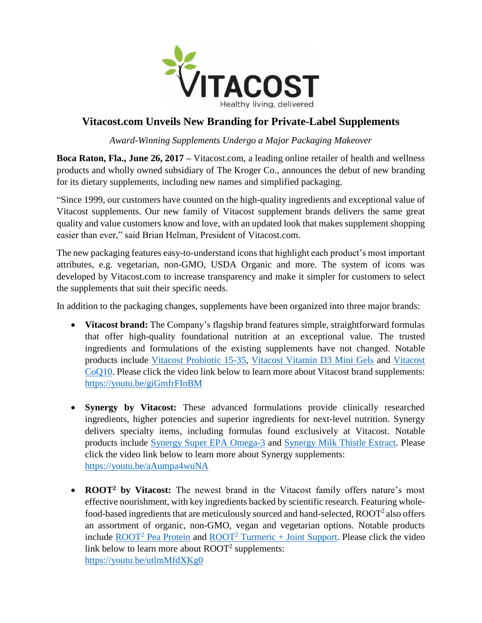

## **Vitacost.com Unveils New Branding for Private-Label Supplements**

*Award-Winning Supplements Undergo a Major Packaging Makeover*

**Boca Raton, Fla., June 26, 2017 –** Vitacost.com, a leading online retailer of health and wellness products and wholly owned subsidiary of The Kroger Co., announces the debut of new branding for its dietary supplements, including new names and simplified packaging.

"Since 1999, our customers have counted on the high-quality ingredients and exceptional value of Vitacost supplements. Our new family of Vitacost supplement brands delivers the same great quality and value customers know and love, with an updated look that makes supplement shopping easier than ever," said Brian Helman, President of Vitacost.com.

The new packaging features easy-to-understand icons that highlight each product's most important attributes, e.g. vegetarian, non-GMO, USDA Organic and more. The system of icons was developed by Vitacost.com to increase transparency and make it simpler for customers to select the supplements that suit their specific needs.

In addition to the packaging changes, supplements have been organized into three major brands:

- **Vitacost brand:** The Company's flagship brand features simple, straightforward formulas that offer high-quality foundational nutrition at an exceptional value. The trusted ingredients and formulations of the existing supplements have not changed. Notable products include [Vitacost Probiotic 15-35,](https://www.vitacost.com/vitacost-probiotic-15-35-35-billion-cfu-120-vegetarian-capsules-10?csrc=pr:62617) [Vitacost Vitamin D3 Mini Gels](https://www.vitacost.com/vitacost-vitamin-d3-mini-gels-5000-iu-100-softgels?csrc=pr:62617) and [Vitacost](https://www.vitacost.com/vitacost-coq10-200-mg-120-capsules-9?csrc=pr:62617)  [CoQ10.](https://www.vitacost.com/vitacost-coq10-200-mg-120-capsules-9?csrc=pr:62617) Please click the video link below to learn more about Vitacost brand supplements: <https://youtu.be/giGmfrFInBM>
- **Synergy by Vitacost:** These advanced formulations provide clinically researched ingredients, higher potencies and superior ingredients for next-level nutrition. Synergy delivers specialty items, including formulas found exclusively at Vitacost. Notable products include [Synergy Super EPA Omega-3](https://www.vitacost.com/vitacost-synergy-super-epa-omega-3-1200-mg-per-serving-120-softgels?csrc=pr:62617) and [Synergy Milk Thistle Extract.](https://www.vitacost.com/vitacost-synergy-milk-thistle-extract-standardized?csrc=pr:62617) Please click the video link below to learn more about Synergy supplements: <https://youtu.be/aAumpa4wuNA>
- **ROOT<sup>2</sup>** by Vitacost: The newest brand in the Vitacost family offers nature's most effective nourishment, with key ingredients backed by scientific research. Featuring wholefood-based ingredients that are meticulously sourced and hand-selected,  $ROOT<sup>2</sup>$  also offers an assortment of organic, non-GMO, vegan and vegetarian options. Notable products include  $ROOT<sup>2</sup>$  [Pea Protein](https://www.vitacost.com/vitacost-root2-pea-protein?csrc=pr:62617) and  $ROOT<sup>2</sup>$  [Turmeric + Joint Support.](https://www.vitacost.com/vitacost-root2-turmeric-joint-support-featuring-curcuwin-apresflex?csrc=pr:62617) Please click the video link below to learn more about  $\text{ROOT}^2$  supplements: <https://youtu.be/utlmMfdXKg0>